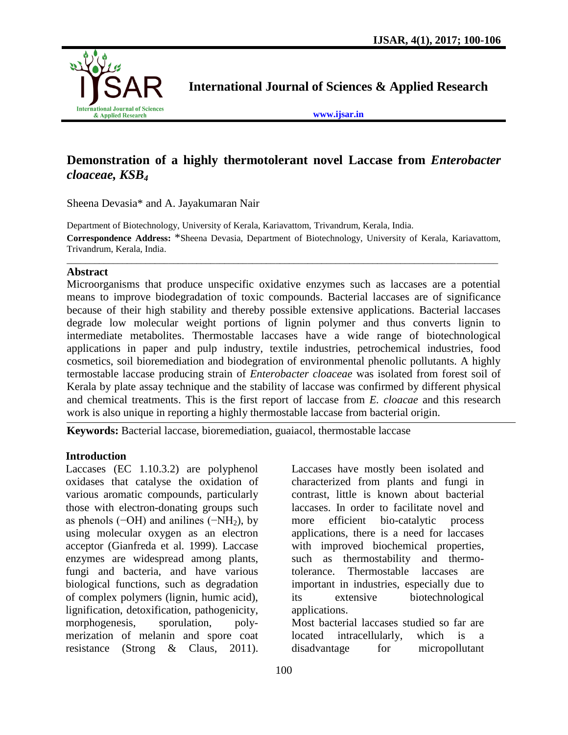

**International Journal of Sciences & Applied Research**

**[www.ijsar.in](http://www.ijsar.in/)**

# **Demonstration of a highly thermotolerant novel Laccase from** *Enterobacter cloaceae, KSB<sup>4</sup>*

Sheena Devasia\* and A. Jayakumaran Nair

Department of Biotechnology, University of Kerala, Kariavattom, Trivandrum, Kerala, India. **Correspondence Address:** \*Sheena Devasia, Department of Biotechnology, University of Kerala, Kariavattom, Trivandrum, Kerala, India.

\_\_\_\_\_\_\_\_\_\_\_\_\_\_\_\_\_\_\_\_\_\_\_\_\_\_\_\_\_\_\_\_\_\_\_\_\_\_\_\_\_\_\_\_\_\_\_\_\_\_\_\_\_\_\_\_\_\_\_\_\_\_\_\_\_\_\_\_\_\_\_\_\_\_\_\_\_\_\_\_\_\_\_\_\_\_\_\_\_\_\_\_\_

#### **Abstract**

Microorganisms that produce unspecific oxidative enzymes such as laccases are a potential means to improve biodegradation of toxic compounds. Bacterial laccases are of significance because of their high stability and thereby possible extensive applications. Bacterial laccases degrade low molecular weight portions of lignin polymer and thus converts lignin to intermediate metabolites. Thermostable laccases have a wide range of biotechnological applications in paper and pulp industry, textile industries, petrochemical industries, food cosmetics, soil bioremediation and biodegration of environmental phenolic pollutants. A highly termostable laccase producing strain of *Enterobacter cloaceae* was isolated from forest soil of Kerala by plate assay technique and the stability of laccase was confirmed by different physical and chemical treatments. This is the first report of laccase from *E. cloacae* and this research work is also unique in reporting a highly thermostable laccase from bacterial origin.

**Keywords:** Bacterial laccase, bioremediation, guaiacol, thermostable laccase

#### **Introduction**

Laccases (EC 1.10.3.2) are polyphenol oxidases that catalyse the oxidation of various aromatic compounds, particularly those with electron-donating groups such as phenols ( $-\text{OH}$ ) and anilines ( $-\text{NH}_2$ ), by using molecular oxygen as an electron acceptor (Gianfreda et al*.* 1999). Laccase enzymes are widespread among plants, fungi and bacteria, and have various biological functions, such as degradation of complex polymers (lignin, humic acid), lignification, detoxification, pathogenicity, morphogenesis, sporulation, polymerization of melanin and spore coat resistance (Strong & Claus, 2011).

Laccases have mostly been isolated and characterized from plants and fungi in contrast, little is known about bacterial laccases. In order to facilitate novel and more efficient bio-catalytic process applications, there is a need for laccases with improved biochemical properties, such as thermostability and thermotolerance. Thermostable laccases are important in industries, especially due to its extensive biotechnological applications.

Most bacterial laccases studied so far are located intracellularly, which is a disadvantage for micropollutant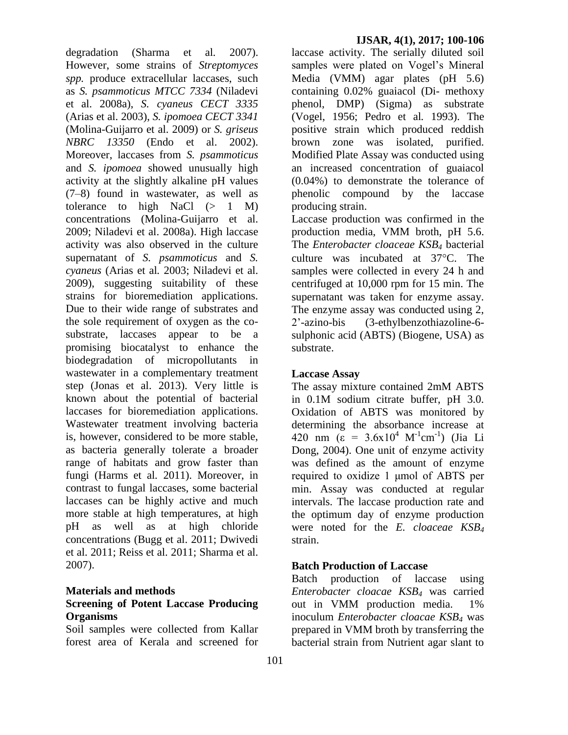degradation (Sharma et al*.* 2007). However, some strains of *Streptomyces spp.* produce extracellular laccases, such as *S. psammoticus MTCC 7334* (Niladevi et al. 2008a), *S. cyaneus CECT 3335* (Arias et al. 2003), *S. ipomoea CECT 3341* (Molina-Guijarro et al. 2009) or *S. griseus NBRC 13350* (Endo et al. 2002). Moreover, laccases from *S. psammoticus* and *S. ipomoea* showed unusually high activity at the slightly alkaline pH values (7–8) found in wastewater, as well as tolerance to high NaCl  $(> 1 M)$ concentrations (Molina-Guijarro et al. 2009; Niladevi et al. 2008a). High laccase activity was also observed in the culture supernatant of *S. psammoticus* and *S. cyaneus* (Arias et al*.* 2003; Niladevi et al. 2009), suggesting suitability of these strains for bioremediation applications. Due to their wide range of substrates and the sole requirement of oxygen as the cosubstrate, laccases appear to be a promising biocatalyst to enhance the biodegradation of micropollutants in wastewater in a complementary treatment step (Jonas et al. 2013). Very little is known about the potential of bacterial laccases for bioremediation applications. Wastewater treatment involving bacteria is, however, considered to be more stable, as bacteria generally tolerate a broader range of habitats and grow faster than fungi (Harms et al*.* 2011). Moreover, in contrast to fungal laccases, some bacterial laccases can be highly active and much more stable at high temperatures, at high pH as well as at high chloride concentrations (Bugg et al. 2011; Dwivedi et al. 2011; Reiss et al. 2011; Sharma et al. 2007).

#### **Materials and methods Screening of Potent Laccase Producing Organisms**

Soil samples were collected from Kallar forest area of Kerala and screened for

laccase activity. The serially diluted soil samples were plated on Vogel's Mineral Media (VMM) agar plates (pH 5.6) containing 0.02% guaiacol (Di- methoxy phenol, DMP) (Sigma) as substrate (Vogel, 1956; Pedro et al*.* 1993). The positive strain which produced reddish brown zone was isolated, purified. Modified Plate Assay was conducted using an increased concentration of guaiacol (0.04%) to demonstrate the tolerance of phenolic compound by the laccase producing strain.

Laccase production was confirmed in the production media, VMM broth, pH 5.6. The *Enterobacter cloaceae KSB<sup>4</sup>* bacterial culture was incubated at  $37^{\circ}$ C. The samples were collected in every 24 h and centrifuged at 10,000 rpm for 15 min. The supernatant was taken for enzyme assay. The enzyme assay was conducted using 2, 2'-azino-bis (3-ethylbenzothiazoline-6 sulphonic acid (ABTS) (Biogene, USA) as substrate.

### **Laccase Assay**

The assay mixture contained 2mM ABTS in 0.1M sodium citrate buffer, pH 3.0. Oxidation of ABTS was monitored by determining the absorbance increase at 420 nm ( $\varepsilon = 3.6 \times 10^4$  M<sup>-1</sup>cm<sup>-1</sup>) (Jia Li Dong, 2004). One unit of enzyme activity was defined as the amount of enzyme required to oxidize 1 μmol of ABTS per min. Assay was conducted at regular intervals. The laccase production rate and the optimum day of enzyme production were noted for the *E. cloaceae KSB<sup>4</sup>* strain.

## **Batch Production of Laccase**

Batch production of laccase using *Enterobacter cloacae KSB<sup>4</sup>* was carried out in VMM production media. 1% inoculum *Enterobacter cloacae KSB<sup>4</sup>* was prepared in VMM broth by transferring the bacterial strain from Nutrient agar slant to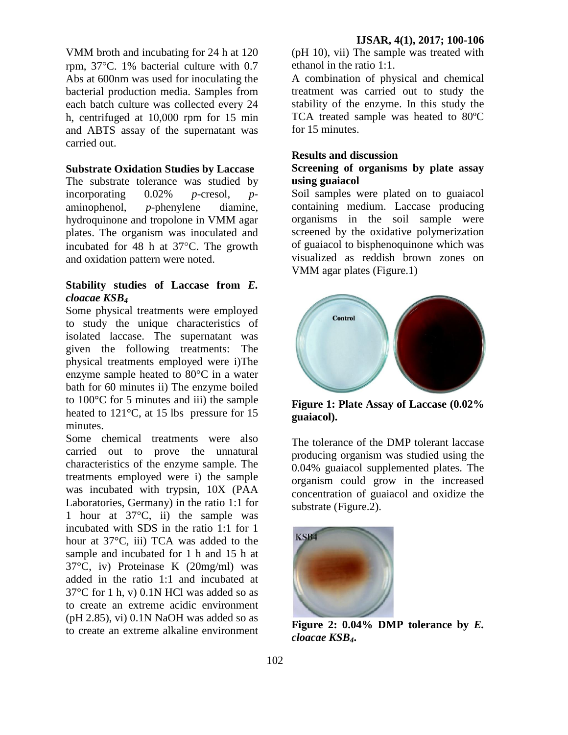VMM broth and incubating for 24 h at 120 rpm,  $37^{\circ}$ C. 1% bacterial culture with 0.7 Abs at 600nm was used for inoculating the bacterial production media. Samples from each batch culture was collected every 24 h, centrifuged at 10,000 rpm for 15 min and ABTS assay of the supernatant was carried out.

### **Substrate Oxidation Studies by Laccase**

The substrate tolerance was studied by incorporating 0.02% *p-*cresol, *p*aminophenol, *p-*phenylene diamine, hydroquinone and tropolone in VMM agar plates. The organism was inoculated and incubated for 48 h at  $37^{\circ}$ C. The growth and oxidation pattern were noted.

#### **Stability studies of Laccase from** *E. cloacae KSB<sup>4</sup>*

Some physical treatments were employed to study the unique characteristics of isolated laccase. The supernatant was given the following treatments: The physical treatments employed were i)The enzyme sample heated to 80°C in a water bath for 60 minutes ii) The enzyme boiled to 100°C for 5 minutes and iii) the sample heated to 121°C, at 15 lbs pressure for 15 minutes.

Some chemical treatments were also carried out to prove the unnatural characteristics of the enzyme sample. The treatments employed were i) the sample was incubated with trypsin, 10X (PAA Laboratories, Germany) in the ratio 1:1 for 1 hour at 37°C, ii) the sample was incubated with SDS in the ratio 1:1 for 1 hour at 37°C, iii) TCA was added to the sample and incubated for 1 h and 15 h at 37°C, iv) Proteinase K (20mg/ml) was added in the ratio 1:1 and incubated at 37°C for 1 h, v) 0.1N HCl was added so as to create an extreme acidic environment  $(pH 2.85)$ , vi)  $0.1N$  NaOH was added so as to create an extreme alkaline environment

(pH 10), vii) The sample was treated with ethanol in the ratio 1:1.

A combination of physical and chemical treatment was carried out to study the stability of the enzyme. In this study the TCA treated sample was heated to 80ºC for 15 minutes.

#### **Results and discussion**

#### **Screening of organisms by plate assay using guaiacol**

Soil samples were plated on to guaiacol containing medium. Laccase producing organisms in the soil sample were screened by the oxidative polymerization of guaiacol to bisphenoquinone which was visualized as reddish brown zones on VMM agar plates (Figure.1)



**Figure 1: Plate Assay of Laccase (0.02% guaiacol).**

The tolerance of the DMP tolerant laccase producing organism was studied using the 0.04% guaiacol supplemented plates. The organism could grow in the increased concentration of guaiacol and oxidize the substrate (Figure.2).



**Figure 2: 0.04% DMP tolerance by** *E. cloacae KSB4***.**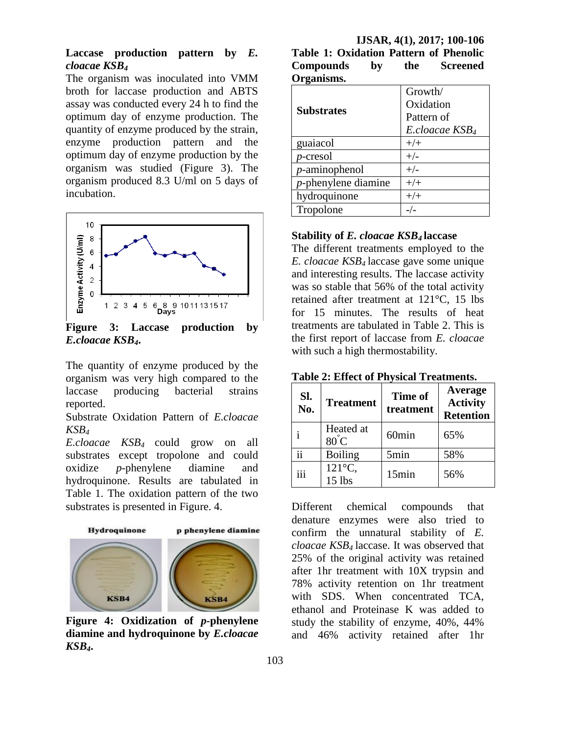### **Laccase production pattern by** *E. cloacae KSB<sup>4</sup>*

The organism was inoculated into VMM broth for laccase production and ABTS assay was conducted every 24 h to find the optimum day of enzyme production. The quantity of enzyme produced by the strain, enzyme production pattern and the optimum day of enzyme production by the organism was studied (Figure 3). The organism produced 8.3 U/ml on 5 days of incubation.



**Figure 3: Laccase production by**  *E.cloacae KSB4***.**

The quantity of enzyme produced by the organism was very high compared to the laccase producing bacterial strains reported.

Substrate Oxidation Pattern of *E.cloacae KSB<sup>4</sup>*

*E.cloacae KSB4* could grow on all substrates except tropolone and could oxidize *p-*phenylene diamine and hydroquinone. Results are tabulated in Table 1. The oxidation pattern of the two substrates is presented in Figure. 4.



**Figure 4: Oxidization of** *p-***phenylene diamine and hydroquinone by** *E.cloacae KSB4***.**

| IJSAR, 4(1), 2017; 100-106 |  |  |                                               |  |  |
|----------------------------|--|--|-----------------------------------------------|--|--|
|                            |  |  | <b>Table 1: Oxidation Pattern of Phenolic</b> |  |  |
| Compounds by               |  |  | the Screened                                  |  |  |
| Organisms.                 |  |  |                                               |  |  |

|                        | Growth/                    |  |
|------------------------|----------------------------|--|
| <b>Substrates</b>      | Oxidation                  |  |
|                        | Pattern of                 |  |
|                        | E.cloacae KSB <sub>4</sub> |  |
| guaiacol               | $+/+$                      |  |
| $p$ -cresol            | $+/-$                      |  |
| $p$ -aminophenol       | $+/-$                      |  |
| $p$ -phenylene diamine | $+/+$                      |  |
| hydroquinone           | $+/-$                      |  |
| Tropolone              |                            |  |

#### **Stability of** *E. cloacae KSB4* **laccase**

The different treatments employed to the *E. cloacae KSB4* laccase gave some unique and interesting results. The laccase activity was so stable that 56% of the total activity retained after treatment at 121°C, 15 lbs for 15 minutes. The results of heat treatments are tabulated in Table 2. This is the first report of laccase from *E. cloacae* with such a high thermostability.

**Table 2: Effect of Physical Treatments.**

| Sl.<br>No. | <b>Treatment</b>             | Time of<br>treatment | Average<br><b>Activity</b><br><b>Retention</b> |
|------------|------------------------------|----------------------|------------------------------------------------|
|            | Heated at<br>$80^{\circ}$ C  | 60 <sub>min</sub>    | 65%                                            |
| 11         | <b>Boiling</b>               | 5min                 | 58%                                            |
|            | $121^{\circ}$ C,<br>$15$ lbs | 15min                | 56%                                            |

Different chemical compounds that denature enzymes were also tried to confirm the unnatural stability of *E. cloacae KSB4* laccase. It was observed that 25% of the original activity was retained after 1hr treatment with 10X trypsin and 78% activity retention on 1hr treatment with SDS. When concentrated TCA, ethanol and Proteinase K was added to study the stability of enzyme, 40%, 44% and 46% activity retained after 1hr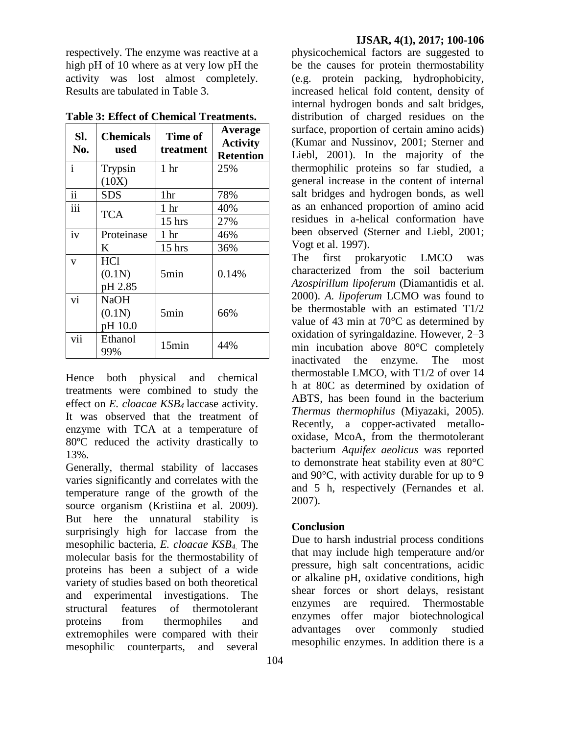respectively. The enzyme was reactive at a high pH of 10 where as at very low pH the activity was lost almost completely. Results are tabulated in Table 3.

| Sl.<br>No.               | <b>Chemicals</b><br>used         | Time of<br>treatment | Average<br><b>Activity</b> |
|--------------------------|----------------------------------|----------------------|----------------------------|
|                          |                                  |                      | <b>Retention</b>           |
| $\mathbf{i}$             | Trypsin                          | 1 <sub>hr</sub>      | 25%                        |
|                          | (10X)                            |                      |                            |
| $\overline{\textbf{ii}}$ | <b>SDS</b>                       | 1hr                  | 78%                        |
| $\overline{iii}$         | TCA                              | 1 <sub>hr</sub>      | 40%                        |
|                          |                                  | $15$ hrs             | 27%                        |
| iv                       | Proteinase                       | 1 <sub>hr</sub>      | 46%                        |
|                          | K                                | $15$ hrs             | 36%                        |
| $\overline{\mathbf{V}}$  | <b>HCl</b><br>(0.1N)<br>pH 2.85  | 5min                 | 0.14%                      |
| vi                       | <b>NaOH</b><br>(0.1N)<br>pH 10.0 | 5min                 | 66%                        |
| vii                      | Ethanol<br>99%                   | 15min                | 44%                        |

**Table 3: Effect of Chemical Treatments.**

Hence both physical and chemical treatments were combined to study the effect on *E. cloacae KSB4* laccase activity. It was observed that the treatment of enzyme with TCA at a temperature of 80ºC reduced the activity drastically to 13%.

Generally, thermal stability of laccases varies significantly and correlates with the temperature range of the growth of the source organism (Kristiina et al*.* 2009). But here the unnatural stability is surprisingly high for laccase from the mesophilic bacteria, *E. cloacae KSB4.* The molecular basis for the thermostability of proteins has been a subject of a wide variety of studies based on both theoretical and experimental investigations. The structural features of thermotolerant proteins from thermophiles and extremophiles were compared with their mesophilic counterparts, and several

physicochemical factors are suggested to be the causes for protein thermostability (e.g. protein packing, hydrophobicity, increased helical fold content, density of internal hydrogen bonds and salt bridges, distribution of charged residues on the surface, proportion of certain amino acids) (Kumar and Nussinov, 2001; Sterner and Liebl, 2001). In the majority of the thermophilic proteins so far studied, a general increase in the content of internal salt bridges and hydrogen bonds, as well as an enhanced proportion of amino acid residues in a-helical conformation have been observed (Sterner and Liebl, 2001; Vogt et al. 1997).

The first prokaryotic LMCO was characterized from the soil bacterium *Azospirillum lipoferum* (Diamantidis et al. 2000). *A. lipoferum* LCMO was found to be thermostable with an estimated  $T1/2$ value of 43 min at 70°C as determined by oxidation of syringaldazine. However, 2–3 min incubation above 80°C completely inactivated the enzyme. The most thermostable LMCO, with T1/2 of over 14 h at 80C as determined by oxidation of ABTS, has been found in the bacterium *Thermus thermophilus* (Miyazaki, 2005). Recently, a copper-activated metallooxidase, McoA, from the thermotolerant bacterium *Aquifex aeolicus* was reported to demonstrate heat stability even at 80°C and 90°C, with activity durable for up to 9 and 5 h, respectively (Fernandes et al. 2007).

## **Conclusion**

Due to harsh industrial process conditions that may include high temperature and/or pressure, high salt concentrations, acidic or alkaline pH, oxidative conditions, high shear forces or short delays, resistant enzymes are required. Thermostable enzymes offer major biotechnological advantages over commonly studied mesophilic enzymes. In addition there is a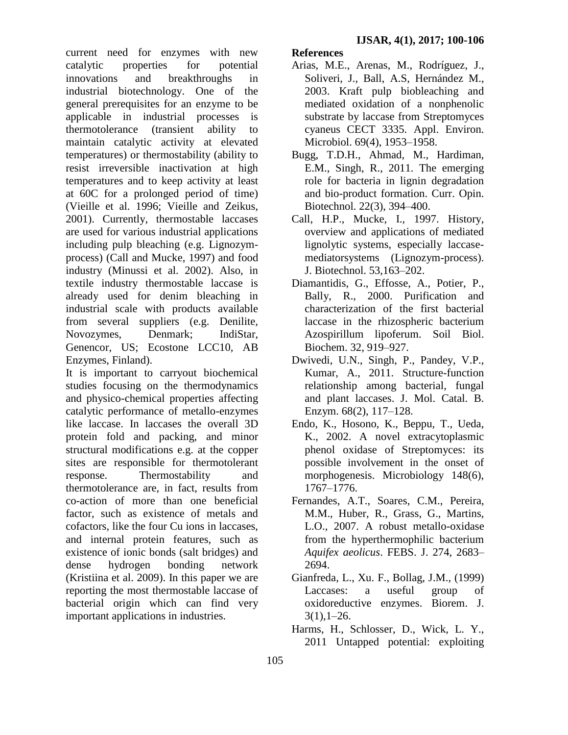current need for enzymes with new catalytic properties for potential innovations and breakthroughs in industrial biotechnology. One of the general prerequisites for an enzyme to be applicable in industrial processes is thermotolerance (transient ability to maintain catalytic activity at elevated temperatures) or thermostability (ability to resist irreversible inactivation at high temperatures and to keep activity at least at 60C for a prolonged period of time) (Vieille et al. 1996; Vieille and Zeikus, 2001). Currently, thermostable laccases are used for various industrial applications including pulp bleaching (e.g. Lignozymprocess) (Call and Mucke, 1997) and food industry (Minussi et al. 2002). Also, in textile industry thermostable laccase is already used for denim bleaching in industrial scale with products available from several suppliers (e.g. Denilite, Novozymes, Denmark; IndiStar, Genencor, US; Ecostone LCC10, AB Enzymes, Finland).

It is important to carryout biochemical studies focusing on the thermodynamics and physico-chemical properties affecting catalytic performance of metallo-enzymes like laccase. In laccases the overall 3D protein fold and packing, and minor structural modifications e.g. at the copper sites are responsible for thermotolerant response. Thermostability and thermotolerance are, in fact, results from co-action of more than one beneficial factor, such as existence of metals and cofactors, like the four Cu ions in laccases, and internal protein features, such as existence of ionic bonds (salt bridges) and dense hydrogen bonding network (Kristiina et al. 2009). In this paper we are reporting the most thermostable laccase of bacterial origin which can find very important applications in industries.

## **References**

- Arias, M.E., Arenas, M., Rodríguez, J., Soliveri, J., Ball, A.S, Hernández M., 2003. Kraft pulp biobleaching and mediated oxidation of a nonphenolic substrate by laccase from Streptomyces cyaneus CECT 3335. Appl. Environ. Microbiol. 69(4), 1953–1958.
- Bugg, T.D.H., Ahmad, M., Hardiman, E.M., Singh, R., 2011. The emerging role for bacteria in lignin degradation and bio-product formation. Curr. Opin. Biotechnol. 22(3), 394–400.
- Call, H.P., Mucke, I., 1997. History, overview and applications of mediated lignolytic systems, especially laccasemediatorsystems (Lignozym-process). J. Biotechnol. 53,163–202.
- Diamantidis, G., Effosse, A., Potier, P., Bally, R., 2000. Purification and characterization of the first bacterial laccase in the rhizospheric bacterium Azospirillum lipoferum. Soil Biol. Biochem. 32, 919–927.
- Dwivedi, U.N., Singh, P., Pandey, V.P., Kumar, A., 2011. Structure-function relationship among bacterial, fungal and plant laccases. J. Mol. Catal. B. Enzym. 68(2), 117–128.
- Endo, K., Hosono, K., Beppu, T., Ueda, K., 2002. A novel extracytoplasmic phenol oxidase of Streptomyces: its possible involvement in the onset of morphogenesis. Microbiology 148(6), 1767–1776.
- Fernandes, A.T., Soares, C.M., Pereira, M.M., Huber, R., Grass, G., Martins, L.O., 2007. A robust metallo-oxidase from the hyperthermophilic bacterium *Aquifex aeolicus*. FEBS. J. 274, 2683– 2694.
- Gianfreda, L., Xu. F., Bollag, J.M., (1999) Laccases: a useful group of oxidoreductive enzymes. Biorem. J.  $3(1), 1-26.$
- Harms, H., Schlosser, D., Wick, L. Y., 2011 Untapped potential: exploiting